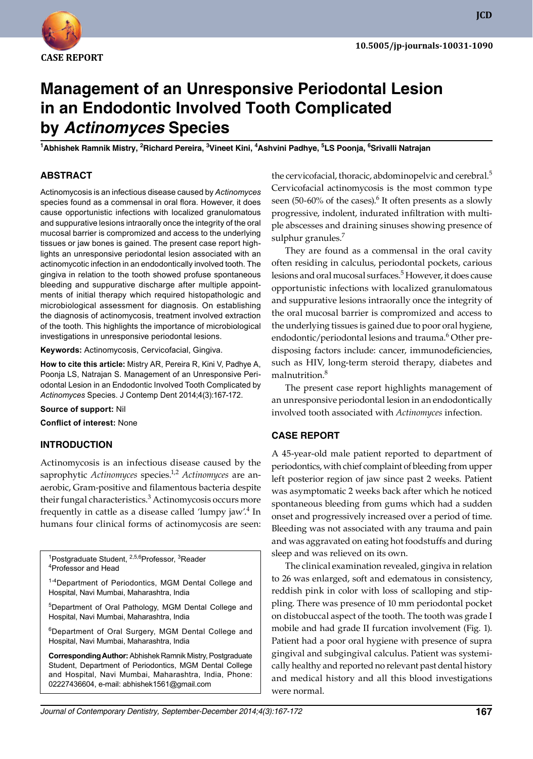

**JCD**

# **Management of an Unresponsive Periodontal Lesion in an Endodontic Involved Tooth Complicated by Actinomyces Species**

**<sup>1</sup>Abhishek Ramnik Mistry, 2Richard Pereira, 3Vineet Kini, 4Ashvini Padhye, 5LS Poonja, 6Srivalli Natrajan**

#### **ABSTRACT**

Actinomycosis is an infectious disease caused by *Actinomyces* species found as a commensal in oral flora. However, it does cause opportunistic infections with localized granulomatous and suppurative lesions intraorally once the integrity of the oral mucosal barrier is compromized and access to the underlying tissues or jaw bones is gained. The present case report highlights an unresponsive periodontal lesion associated with an actinomycotic infection in an endodontically involved tooth. The gingiva in relation to the tooth showed profuse spontaneous bleeding and suppurative discharge after multiple appointments of initial therapy which required histopathologic and microbiological assessment for diagnosis. On establishing the diagnosis of actinomycosis, treatment involved extraction of the tooth. This highlights the importance of microbiological investigations in unresponsive periodontal lesions.

**Keywords:** Actinomycosis, Cervicofacial, Gingiva.

**How to cite this article:** Mistry AR, Pereira R, Kini V, Padhye A, Poonja LS, Natrajan S. Management of an Unresponsive Periodontal Lesion in an Endodontic Involved Tooth Complicated by *Actinomyces* Species. J Contemp Dent 2014;4(3):167-172.

**Source of support:** Nil

**Conflict of interest:** None

#### **INTRodUCTIoN**

Actinomycosis is an infectious disease caused by the saprophytic *Actinomyces* species.1,2 *Actinomyces* are anaerobic, Gram-positive and filamentous bacteria despite their fungal characteristics.<sup>3</sup> Actinomycosis occurs more frequently in cattle as a disease called 'lumpy jaw'.<sup>4</sup> In humans four clinical forms of actinomycosis are seen:

<sup>1</sup>Postgraduate Student, <sup>2,5,6</sup>Professor, <sup>3</sup>Reader <sup>4</sup>Professor and Head

<sup>1-4</sup>Department of Periodontics, MGM Dental College and Hospital, Navi Mumbai, Maharashtra, India

<sup>5</sup>Department of Oral Pathology, MGM Dental College and Hospital, Navi Mumbai, Maharashtra, India

<sup>6</sup>Department of Oral Surgery, MGM Dental College and Hospital, Navi Mumbai, Maharashtra, India

**Corresponding Author:** Abhishek Ramnik Mistry, Postgraduate Student, Department of Periodontics, MGM Dental College and Hospital, Navi Mumbai, Maharashtra, India, Phone: 02227436604, e-mail: abhishek1561@gmail.com

the cervicofacial, thoracic, abdominopelvic and cerebral.<sup>5</sup> Cervicofacial actinomycosis is the most common type seen (50-60% of the cases). $\rm^6$  It often presents as a slowly progressive, indolent, indurated infiltration with multiple abscesses and draining sinuses showing presence of sulphur granules.<sup>7</sup>

 They are found as a commensal in the oral cavity often residing in calculus, periodontal pockets, carious lesions and oral mucosal surfaces.<sup>5</sup> However, it does cause opportunistic infections with localized granulomatous and suppurative lesions intraorally once the integrity of the oral mucosal barrier is compromized and access to the underlying tissues is gained due to poor oral hygiene, endodontic/periodontal lesions and trauma.<sup>6</sup> Other predisposing factors include: cancer, immunodeficiencies, such as HIV, long-term steroid therapy, diabetes and malnutrition.<sup>8</sup>

 The present case report highlights management of an unresponsive periodontal lesion in an endodontically involved tooth associated with *Actinomyces* infection.

#### **CASE REPoRT**

A 45-year-old male patient reported to department of periodontics, with chief complaint of bleeding from upper left posterior region of jaw since past 2 weeks. Patient was asymptomatic 2 weeks back after which he noticed spontaneous bleeding from gums which had a sudden onset and progressively increased over a period of time. Bleeding was not associated with any trauma and pain and was aggravated on eating hot foodstuffs and during sleep and was relieved on its own.

 The clinical examination revealed, gingiva in relation to 26 was enlarged, soft and edematous in consistency, reddish pink in color with loss of scalloping and stippling. There was presence of 10 mm periodontal pocket on distobuccal aspect of the tooth. The tooth was grade I mobile and had grade II furcation involvement (Fig. 1). Patient had a poor oral hygiene with presence of supra gingival and subgingival calculus. Patient was systemically healthy and reported no relevant past dental history and medical history and all this blood investigations were normal.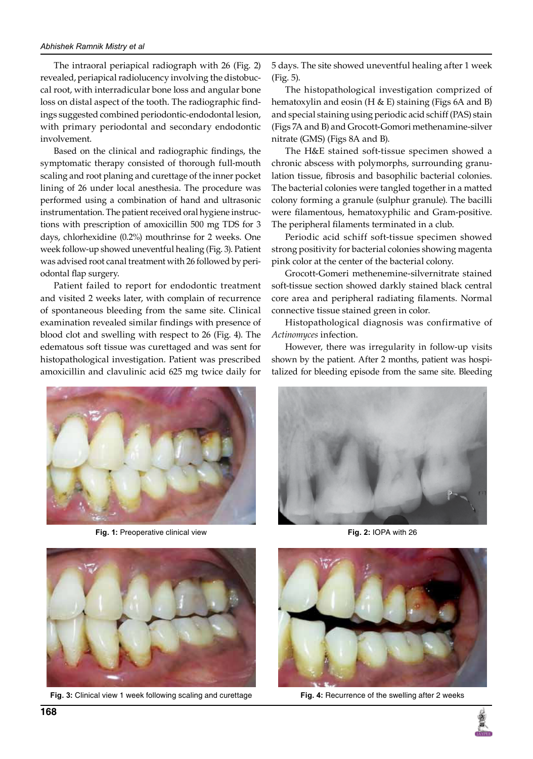The intraoral periapical radiograph with 26 (Fig. 2) revealed, periapical radiolucency involving the distobuccal root, with interradicular bone loss and angular bone loss on distal aspect of the tooth. The radiographic findings suggested combined periodontic-endodontal lesion, with primary periodontal and secondary endodontic involvement.

Based on the clinical and radiographic findings, the symptomatic therapy consisted of thorough full-mouth scaling and root planing and curettage of the inner pocket lining of 26 under local anesthesia. The procedure was performed using a combination of hand and ultrasonic instrumentation. The patient received oral hygiene instructions with prescription of amoxicillin 500 mg TDS for 3 days, chlorhexidine (0.2%) mouthrinse for 2 weeks. One week follow-up showed uneventful healing (Fig. 3). Patient was advised root canal treatment with 26 followed by periodontal flap surgery.

 Patient failed to report for endodontic treatment and visited 2 weeks later, with complain of recurrence of spontaneous bleeding from the same site. Clinical examination revealed similar findings with presence of blood clot and swelling with respect to 26 (Fig. 4). The edematous soft tissue was curettaged and was sent for histopathological investigation. Patient was prescribed amoxicillin and clavulinic acid 625 mg twice daily for



 The histopathological investigation comprized of hematoxylin and eosin  $(H & E)$  staining (Figs 6A and B) and special staining using periodic acid schiff (PAS) stain (Figs 7A and B) and Grocott-Gomori methenamine-silver nitrate (GMS) (Figs 8A and B).

 The H&E stained soft-tissue specimen showed a chronic abscess with polymorphs, surrounding granulation tissue, fibrosis and basophilic bacterial colonies. The bacterial colonies were tangled together in a matted colony forming a granule (sulphur granule). The bacilli were filamentous, hematoxyphilic and Gram-positive. The peripheral filaments terminated in a club.

 Periodic acid schiff soft-tissue specimen showed strong positivity for bacterial colonies showing magenta pink color at the center of the bacterial colony.

 Grocott-Gomeri methenemine-silvernitrate stained soft-tissue section showed darkly stained black central core area and peripheral radiating filaments. Normal connective tissue stained green in color.

 Histopathological diagnosis was confirmative of *Actinomyces* infection.

However, there was irregularity in follow-up visits shown by the patient. After 2 months, patient was hospitalized for bleeding episode from the same site. Bleeding



**Fig. 1:** Preoperative clinical view **Fig. 2:** IOPA with 26



**Fig. 3:** Clinical view 1 week following scaling and curettage **Fig. 4:** Recurrence of the swelling after 2 weeks





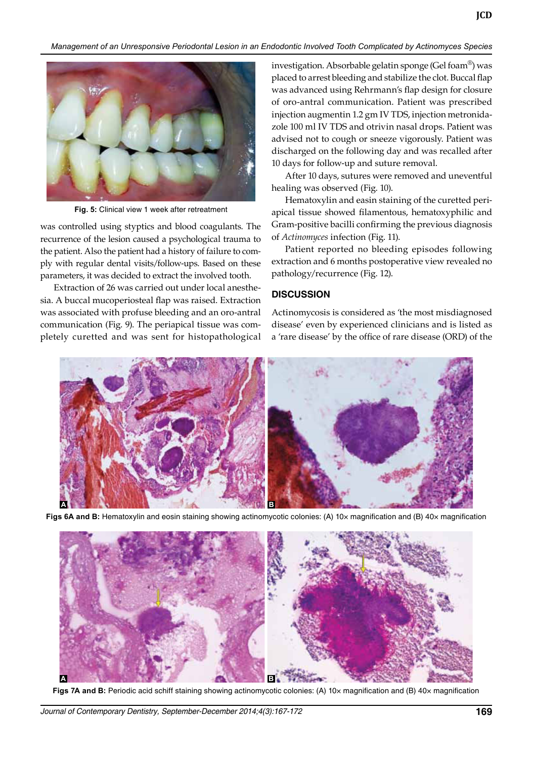

**Fig. 5:** Clinical view 1 week after retreatment

was controlled using styptics and blood coagulants. The recurrence of the lesion caused a psychological trauma to the patient. Also the patient had a history of failure to comply with regular dental visits/follow-ups. Based on these parameters, it was decided to extract the involved tooth.

 Extraction of 26 was carried out under local anesthesia. A buccal mucoperiosteal flap was raised. Extraction was associated with profuse bleeding and an oro-antral communication (Fig. 9). The periapical tissue was completely curetted and was sent for histopathological investigation. Absorbable gelatin sponge (Gel foam® ) was placed to arrest bleeding and stabilize the clot. Buccal flap was advanced using Rehrmann's flap design for closure of oro-antral communication. Patient was prescribed injection augmentin 1.2 gm Iv TDS, injection metronidazole 100 ml Iv TDS and otrivin nasal drops. Patient was advised not to cough or sneeze vigorously. Patient was discharged on the following day and was recalled after 10 days for follow-up and suture removal.

 After 10 days, sutures were removed and uneventful healing was observed (Fig. 10).

 Hematoxylin and easin staining of the curetted periapical tissue showed filamentous, hematoxyphilic and Gram-positive bacilli confirming the previous diagnosis of *Actinomyces* infection (Fig. 11).

 Patient reported no bleeding episodes following extraction and 6 months postoperative view revealed no pathology/recurrence (Fig. 12).

### **dISCUSSIoN**

Actinomycosis is considered as 'the most misdiagnosed disease' even by experienced clinicians and is listed as a 'rare disease' by the office of rare disease (ORD) of the



Figs 6A and B: Hematoxylin and eosin staining showing actinomycotic colonies: (A) 10x magnification and (B) 40x magnification



**Figs 7A and B:** Periodic acid schiff staining showing actinomycotic colonies: (A) 10× magnification and (B) 40× magnification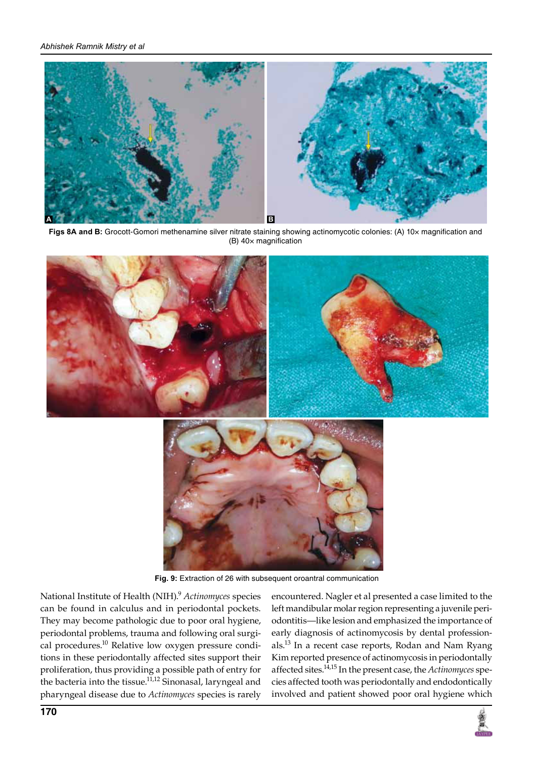

Figs 8A and B: Grocott-Gomori methenamine silver nitrate staining showing actinomycotic colonies: (A) 10x magnification and (B) 40× magnification



**Fig. 9:** Extraction of 26 with subsequent oroantral communication

National Institute of Health (NIH).<sup>9</sup>  *Actinomyces* species can be found in calculus and in periodontal pockets. They may become pathologic due to poor oral hygiene, periodontal problems, trauma and following oral surgical procedures.<sup>10</sup> Relative low oxygen pressure conditions in these periodontally affected sites support their proliferation, thus providing a possible path of entry for the bacteria into the tissue.<sup>11,12</sup> Sinonasal, laryngeal and pharyngeal disease due to *Actinomyces* species is rarely

encountered. Nagler et al presented a case limited to the left mandibular molar region representing a juvenile periodontitis—like lesion and emphasized the importance of early diagnosis of actinomycosis by dental professionals.<sup>13</sup> In a recent case reports, Rodan and Nam Ryang Kim reported presence of actinomycosis in periodontally affected sites.14,15 In the present case, the *Actinomyces* species affected tooth was periodontally and endodontically involved and patient showed poor oral hygiene which

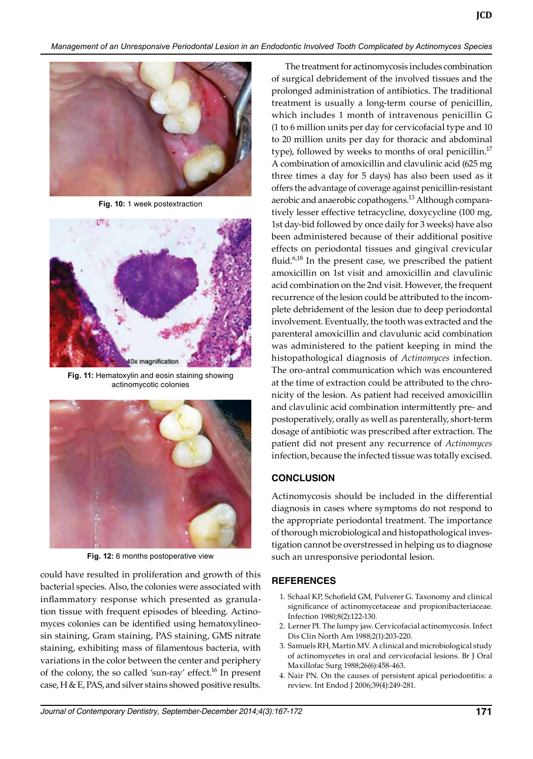

**Fig. 10:** 1 week postextraction



**Fig. 11:** Hematoxylin and eosin staining showing actinomycotic colonies



**Fig. 12:** 6 months postoperative view

could have resulted in proliferation and growth of this bacterial species. Also, the colonies were associated with inflammatory response which presented as granulation tissue with frequent episodes of bleeding. Actinomyces colonies can be identified using hematoxylineosin staining, Gram staining, PAS staining, GMS nitrate staining, exhibiting mass of filamentous bacteria, with variations in the color between the center and periphery of the colony, the so called 'sun-ray' effect.<sup>16</sup> In present case, H & E, PAS, and silver stains showed positive results.

The treatment for actinomycosis includes combination of surgical debridement of the involved tissues and the prolonged administration of antibiotics. The traditional treatment is usually a long-term course of penicillin, which includes 1 month of intravenous penicillin G (1 to 6 million units per day for cervicofacial type and 10 to 20 million units per day for thoracic and abdominal type), followed by weeks to months of oral penicillin.<sup>17</sup> A combination of amoxicillin and clavulinic acid (625 mg three times a day for 5 days) has also been used as it offers the advantage of coverage against penicillin-resistant aerobic and anaerobic copathogens.<sup>13</sup> Although comparatively lesser effective tetracycline, doxycycline (100 mg, 1st day-bid followed by once daily for 3 weeks) have also been administered because of their additional positive effects on periodontal tissues and gingival crevicular fluid. $6,18$  In the present case, we prescribed the patient amoxicillin on 1st visit and amoxicillin and clavulinic acid combination on the 2nd visit. However, the frequent recurrence of the lesion could be attributed to the incomplete debridement of the lesion due to deep periodontal involvement. Eventually, the tooth was extracted and the parenteral amoxicillin and clavulunic acid combination was administered to the patient keeping in mind the histopathological diagnosis of *Actinomyces* infection. The oro-antral communication which was encountered at the time of extraction could be attributed to the chronicity of the lesion. As patient had received amoxicillin and clavulinic acid combination intermittently pre- and postoperatively, orally as well as parenterally, short-term dosage of antibiotic was prescribed after extraction. The patient did not present any recurrence of *Actinomyces* infection, because the infected tissue was totally excised.

## **CoNCLUSIoN**

Actinomycosis should be included in the differential diagnosis in cases where symptoms do not respond to the appropriate periodontal treatment. The importance of thorough microbiological and histopathological investigation cannot be overstressed in helping us to diagnose such an unresponsive periodontal lesion.

# **REFERENCES**

- 1. Schaal KP, Schofield GM, Pulverer G. Taxonomy and clinical significance of actinomycetaceae and propionibacteriaceae. Infection 1980;8(2):122-130.
- 2. Lerner PI. The lumpy jaw. Cervicofacial actinomycosis. Infect Dis Clin North Am 1988;2(1):203-220.
- 3. Samuels RH, Martin MV. A clinical and microbiological study of actinomycetes in oral and cervicofacial lesions. Br J Oral Maxillofac Surg 1988;26(6):458-463.
- 4. Nair PN. On the causes of persistent apical periodontitis: a review. Int Endod J 2006;39(4):249-281.

**JCD**